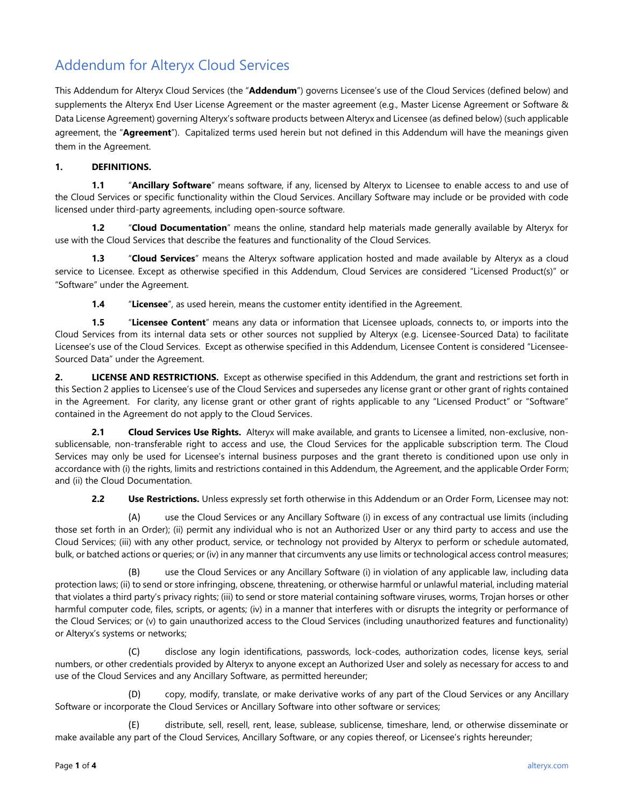# Addendum for Alteryx Cloud Services

This Addendum for Alteryx Cloud Services (the "**Addendum**") governs Licensee's use of the Cloud Services (defined below) and supplements the Alteryx End User License Agreement or the master agreement (e.g., Master License Agreement or Software & Data License Agreement) governing Alteryx's software products between Alteryx and Licensee (as defined below) (such applicable agreement, the "**Agreement**"). Capitalized terms used herein but not defined in this Addendum will have the meanings given them in the Agreement.

## **1. DEFINITIONS.**

**1.1** "**Ancillary Software**" means software, if any, licensed by Alteryx to Licensee to enable access to and use of the Cloud Services or specific functionality within the Cloud Services. Ancillary Software may include or be provided with code licensed under third-party agreements, including open-source software.

**1.2** "**Cloud Documentation**" means the online, standard help materials made generally available by Alteryx for use with the Cloud Services that describe the features and functionality of the Cloud Services.

**1.3** "**Cloud Services**" means the Alteryx software application hosted and made available by Alteryx as a cloud service to Licensee. Except as otherwise specified in this Addendum, Cloud Services are considered "Licensed Product(s)" or "Software" under the Agreement.

**1.4** "**Licensee**", as used herein, means the customer entity identified in the Agreement.

**1.5** "**Licensee Content**" means any data or information that Licensee uploads, connects to, or imports into the Cloud Services from its internal data sets or other sources not supplied by Alteryx (e.g. Licensee-Sourced Data) to facilitate Licensee's use of the Cloud Services. Except as otherwise specified in this Addendum, Licensee Content is considered "Licensee-Sourced Data" under the Agreement.

**2. LICENSE AND RESTRICTIONS.** Except as otherwise specified in this Addendum, the grant and restrictions set forth in this Section 2 applies to Licensee's use of the Cloud Services and supersedes any license grant or other grant of rights contained in the Agreement. For clarity, any license grant or other grant of rights applicable to any "Licensed Product" or "Software" contained in the Agreement do not apply to the Cloud Services.

**2.1 Cloud Services Use Rights.** Alteryx will make available, and grants to Licensee a limited, non-exclusive, nonsublicensable, non-transferable right to access and use, the Cloud Services for the applicable subscription term. The Cloud Services may only be used for Licensee's internal business purposes and the grant thereto is conditioned upon use only in accordance with (i) the rights, limits and restrictions contained in this Addendum, the Agreement, and the applicable Order Form; and (ii) the Cloud Documentation.

**2.2 Use Restrictions.** Unless expressly set forth otherwise in this Addendum or an Order Form, Licensee may not:

(A) use the Cloud Services or any Ancillary Software (i) in excess of any contractual use limits (including those set forth in an Order); (ii) permit any individual who is not an Authorized User or any third party to access and use the Cloud Services; (iii) with any other product, service, or technology not provided by Alteryx to perform or schedule automated, bulk, or batched actions or queries; or (iv) in any manner that circumvents any use limits or technological access control measures;

(B) use the Cloud Services or any Ancillary Software (i) in violation of any applicable law, including data protection laws; (ii) to send or store infringing, obscene, threatening, or otherwise harmful or unlawful material, including material that violates a third party's privacy rights; (iii) to send or store material containing software viruses, worms, Trojan horses or other harmful computer code, files, scripts, or agents; (iv) in a manner that interferes with or disrupts the integrity or performance of the Cloud Services; or (v) to gain unauthorized access to the Cloud Services (including unauthorized features and functionality) or Alteryx's systems or networks;

(C) disclose any login identifications, passwords, lock-codes, authorization codes, license keys, serial numbers, or other credentials provided by Alteryx to anyone except an Authorized User and solely as necessary for access to and use of the Cloud Services and any Ancillary Software, as permitted hereunder;

(D) copy, modify, translate, or make derivative works of any part of the Cloud Services or any Ancillary Software or incorporate the Cloud Services or Ancillary Software into other software or services;

(E) distribute, sell, resell, rent, lease, sublease, sublicense, timeshare, lend, or otherwise disseminate or make available any part of the Cloud Services, Ancillary Software, or any copies thereof, or Licensee's rights hereunder;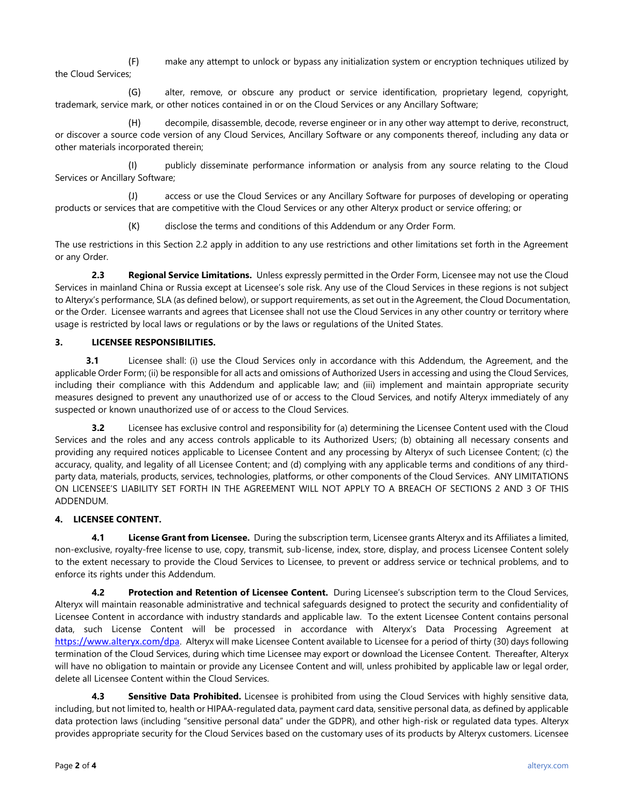(F) make any attempt to unlock or bypass any initialization system or encryption techniques utilized by the Cloud Services;

(G) alter, remove, or obscure any product or service identification, proprietary legend, copyright, trademark, service mark, or other notices contained in or on the Cloud Services or any Ancillary Software;

(H) decompile, disassemble, decode, reverse engineer or in any other way attempt to derive, reconstruct, or discover a source code version of any Cloud Services, Ancillary Software or any components thereof, including any data or other materials incorporated therein;

(I) publicly disseminate performance information or analysis from any source relating to the Cloud Services or Ancillary Software;

(J) access or use the Cloud Services or any Ancillary Software for purposes of developing or operating products or services that are competitive with the Cloud Services or any other Alteryx product or service offering; or

(K) disclose the terms and conditions of this Addendum or any Order Form.

The use restrictions in this Section 2.2 apply in addition to any use restrictions and other limitations set forth in the Agreement or any Order.

**2.3 Regional Service Limitations.** Unless expressly permitted in the Order Form, Licensee may not use the Cloud Services in mainland China or Russia except at Licensee's sole risk. Any use of the Cloud Services in these regions is not subject to Alteryx's performance, SLA (as defined below), or support requirements, as set out in the Agreement, the Cloud Documentation, or the Order. Licensee warrants and agrees that Licensee shall not use the Cloud Services in any other country or territory where usage is restricted by local laws or regulations or by the laws or regulations of the United States.

## **3. LICENSEE RESPONSIBILITIES.**

**3.1** Licensee shall: (i) use the Cloud Services only in accordance with this Addendum, the Agreement, and the applicable Order Form; (ii) be responsible for all acts and omissions of Authorized Users in accessing and using the Cloud Services, including their compliance with this Addendum and applicable law; and (iii) implement and maintain appropriate security measures designed to prevent any unauthorized use of or access to the Cloud Services, and notify Alteryx immediately of any suspected or known unauthorized use of or access to the Cloud Services.

**3.2** Licensee has exclusive control and responsibility for (a) determining the Licensee Content used with the Cloud Services and the roles and any access controls applicable to its Authorized Users; (b) obtaining all necessary consents and providing any required notices applicable to Licensee Content and any processing by Alteryx of such Licensee Content; (c) the accuracy, quality, and legality of all Licensee Content; and (d) complying with any applicable terms and conditions of any thirdparty data, materials, products, services, technologies, platforms, or other components of the Cloud Services. ANY LIMITATIONS ON LICENSEE'S LIABILITY SET FORTH IN THE AGREEMENT WILL NOT APPLY TO A BREACH OF SECTIONS 2 AND 3 OF THIS ADDENDUM.

#### **4. LICENSEE CONTENT.**

**4.1 License Grant from Licensee.** During the subscription term, Licensee grants Alteryx and its Affiliates a limited, non-exclusive, royalty-free license to use, copy, transmit, sub-license, index, store, display, and process Licensee Content solely to the extent necessary to provide the Cloud Services to Licensee, to prevent or address service or technical problems, and to enforce its rights under this Addendum.

**4.2 Protection and Retention of Licensee Content.** During Licensee's subscription term to the Cloud Services, Alteryx will maintain reasonable administrative and technical safeguards designed to protect the security and confidentiality of Licensee Content in accordance with industry standards and applicable law. To the extent Licensee Content contains personal data, such License Content will be processed in accordance with Alteryx's Data Processing Agreement at [https://www.alteryx.com/dpa](https://nam02.safelinks.protection.outlook.com/?url=https%3A%2F%2Fwww.alteryx.com%2Fdpa&data=04%7C01%7Cmichael.splaver%40alteryx.com%7C4a104b84a942444e277308d96f344bfc%7C522f39d9303d488f9deba6d77f1eafd8%7C0%7C0%7C637663092666315589%7CUnknown%7CTWFpbGZsb3d8eyJWIjoiMC4wLjAwMDAiLCJQIjoiV2luMzIiLCJBTiI6Ik1haWwiLCJXVCI6Mn0%3D%7C1000&sdata=cAUjouMq2B8i2cTWp0EUZH5V0aECkyqDH8G5DDNOOds%3D&reserved=0). Alteryx will make Licensee Content available to Licensee for a period of thirty (30) days following termination of the Cloud Services, during which time Licensee may export or download the Licensee Content. Thereafter, Alteryx will have no obligation to maintain or provide any Licensee Content and will, unless prohibited by applicable law or legal order, delete all Licensee Content within the Cloud Services.

**4.3 Sensitive Data Prohibited.** Licensee is prohibited from using the Cloud Services with highly sensitive data, including, but not limited to, health or HIPAA-regulated data, payment card data, sensitive personal data, as defined by applicable data protection laws (including "sensitive personal data" under the GDPR), and other high-risk or regulated data types. Alteryx provides appropriate security for the Cloud Services based on the customary uses of its products by Alteryx customers. Licensee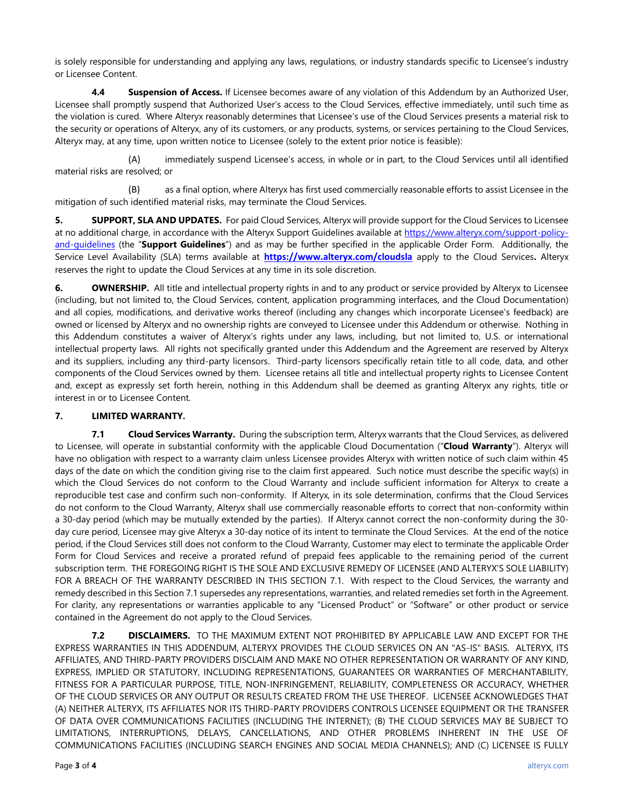is solely responsible for understanding and applying any laws, regulations, or industry standards specific to Licensee's industry or Licensee Content.

**4.4 Suspension of Access.** If Licensee becomes aware of any violation of this Addendum by an Authorized User, Licensee shall promptly suspend that Authorized User's access to the Cloud Services, effective immediately, until such time as the violation is cured. Where Alteryx reasonably determines that Licensee's use of the Cloud Services presents a material risk to the security or operations of Alteryx, any of its customers, or any products, systems, or services pertaining to the Cloud Services, Alteryx may, at any time, upon written notice to Licensee (solely to the extent prior notice is feasible):

(A) immediately suspend Licensee's access, in whole or in part, to the Cloud Services until all identified material risks are resolved; or

(B) as a final option, where Alteryx has first used commercially reasonable efforts to assist Licensee in the mitigation of such identified material risks, may terminate the Cloud Services.

**5. SUPPORT, SLA AND UPDATES.** For paid Cloud Services, Alteryx will provide support for the Cloud Services to Licensee at no additional charge, in accordance with the Alteryx Support Guidelines available at [https://www.alteryx.com/support-policy](https://www.alteryx.com/support-policy-and-guidelines)[and-guidelines](https://www.alteryx.com/support-policy-and-guidelines) (the "**Support Guidelines**") and as may be further specified in the applicable Order Form. Additionally, the Service Level Availability (SLA) terms available at **[https://www.alteryx.com/cloudsla](https://nam02.safelinks.protection.outlook.com/?url=https%3A%2F%2Fwww.alteryx.com%2Fcloudsla&data=04%7C01%7Cmichael.splaver%40alteryx.com%7C4a104b84a942444e277308d96f344bfc%7C522f39d9303d488f9deba6d77f1eafd8%7C0%7C0%7C637663092666315589%7CUnknown%7CTWFpbGZsb3d8eyJWIjoiMC4wLjAwMDAiLCJQIjoiV2luMzIiLCJBTiI6Ik1haWwiLCJXVCI6Mn0%3D%7C1000&sdata=ayMdDxuJVzI3IVjUCxTsoH7UBB0TcwTkH1448HdG4sw%3D&reserved=0)** apply to the Cloud Services**.** Alteryx reserves the right to update the Cloud Services at any time in its sole discretion.

**6. OWNERSHIP.** All title and intellectual property rights in and to any product or service provided by Alteryx to Licensee (including, but not limited to, the Cloud Services, content, application programming interfaces, and the Cloud Documentation) and all copies, modifications, and derivative works thereof (including any changes which incorporate Licensee's feedback) are owned or licensed by Alteryx and no ownership rights are conveyed to Licensee under this Addendum or otherwise. Nothing in this Addendum constitutes a waiver of Alteryx's rights under any laws, including, but not limited to, U.S. or international intellectual property laws. All rights not specifically granted under this Addendum and the Agreement are reserved by Alteryx and its suppliers, including any third-party licensors. Third-party licensors specifically retain title to all code, data, and other components of the Cloud Services owned by them. Licensee retains all title and intellectual property rights to Licensee Content and, except as expressly set forth herein, nothing in this Addendum shall be deemed as granting Alteryx any rights, title or interest in or to Licensee Content.

#### **7. LIMITED WARRANTY.**

**7.1 Cloud Services Warranty.** During the subscription term, Alteryx warrants that the Cloud Services, as delivered to Licensee, will operate in substantial conformity with the applicable Cloud Documentation ("**Cloud Warranty**"). Alteryx will have no obligation with respect to a warranty claim unless Licensee provides Alteryx with written notice of such claim within 45 days of the date on which the condition giving rise to the claim first appeared. Such notice must describe the specific way(s) in which the Cloud Services do not conform to the Cloud Warranty and include sufficient information for Alteryx to create a reproducible test case and confirm such non-conformity. If Alteryx, in its sole determination, confirms that the Cloud Services do not conform to the Cloud Warranty, Alteryx shall use commercially reasonable efforts to correct that non-conformity within a 30-day period (which may be mutually extended by the parties). If Alteryx cannot correct the non-conformity during the 30 day cure period, Licensee may give Alteryx a 30-day notice of its intent to terminate the Cloud Services. At the end of the notice period, if the Cloud Services still does not conform to the Cloud Warranty, Customer may elect to terminate the applicable Order Form for Cloud Services and receive a prorated refund of prepaid fees applicable to the remaining period of the current subscription term. THE FOREGOING RIGHT IS THE SOLE AND EXCLUSIVE REMEDY OF LICENSEE (AND ALTERYX'S SOLE LIABILITY) FOR A BREACH OF THE WARRANTY DESCRIBED IN THIS SECTION 7.1. With respect to the Cloud Services, the warranty and remedy described in this Section 7.1 supersedes any representations, warranties, and related remedies set forth in the Agreement. For clarity, any representations or warranties applicable to any "Licensed Product" or "Software" or other product or service contained in the Agreement do not apply to the Cloud Services.

**7.2 DISCLAIMERS.** TO THE MAXIMUM EXTENT NOT PROHIBITED BY APPLICABLE LAW AND EXCEPT FOR THE EXPRESS WARRANTIES IN THIS ADDENDUM, ALTERYX PROVIDES THE CLOUD SERVICES ON AN "AS-IS" BASIS. ALTERYX, ITS AFFILIATES, AND THIRD-PARTY PROVIDERS DISCLAIM AND MAKE NO OTHER REPRESENTATION OR WARRANTY OF ANY KIND, EXPRESS, IMPLIED OR STATUTORY, INCLUDING REPRESENTATIONS, GUARANTEES OR WARRANTIES OF MERCHANTABILITY, FITNESS FOR A PARTICULAR PURPOSE, TITLE, NON-INFRINGEMENT, RELIABILITY, COMPLETENESS OR ACCURACY, WHETHER OF THE CLOUD SERVICES OR ANY OUTPUT OR RESULTS CREATED FROM THE USE THEREOF. LICENSEE ACKNOWLEDGES THAT (A) NEITHER ALTERYX, ITS AFFILIATES NOR ITS THIRD-PARTY PROVIDERS CONTROLS LICENSEE EQUIPMENT OR THE TRANSFER OF DATA OVER COMMUNICATIONS FACILITIES (INCLUDING THE INTERNET); (B) THE CLOUD SERVICES MAY BE SUBJECT TO LIMITATIONS, INTERRUPTIONS, DELAYS, CANCELLATIONS, AND OTHER PROBLEMS INHERENT IN THE USE OF COMMUNICATIONS FACILITIES (INCLUDING SEARCH ENGINES AND SOCIAL MEDIA CHANNELS); AND (C) LICENSEE IS FULLY